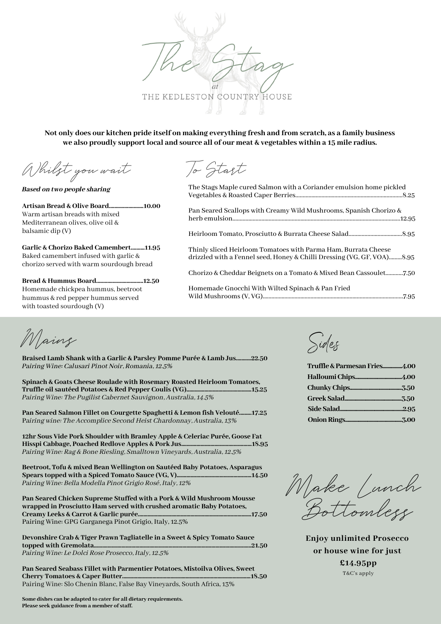THE KEDLESTON COUNTRY HOUSE

Not only does our kitchen pride itself on making everything fresh and from scratch, as a family business **we also proudly support local and source all of our meat & vegetables within a 15 mile radius.**

Whilst you wait

Based on two people sharing

**Artisan Bread & Olive Board.........................10.00** Warm artisan breads with mixed Mediterranean olives, olive oil & balsamic dip (V)

**Garlic & Chorizo Baked Camembert..........11.95** Baked camembert infused with garlic & chorizo served with warm sourdough bread

**Bread & Hummus Board..................................12.50** Homemade chickpea hummus, beetroot hummus & red pepper hummus served with toasted sourdough (V)

To Start

| The Stags Maple cured Salmon with a Coriander emulsion home pickled                                                                      |
|------------------------------------------------------------------------------------------------------------------------------------------|
| Pan Seared Scallops with Creamy Wild Mushrooms, Spanish Chorizo &                                                                        |
|                                                                                                                                          |
| Thinly sliced Heirloom Tomatoes with Parma Ham, Burrata Cheese<br>drizzled with a Fennel seed, Honey & Chilli Dressing (VG, GF, VOA)8.95 |
|                                                                                                                                          |
| Homemade Gnocchi With Wilted Spinach & Pan Fried                                                                                         |

Homemade Gnocchi With Wilted Spinach & Pan Fried Wild Mushrooms(V, VG).................................................................................................7.95

Mains

**Braised Lamb Shank with a Garlic & Parsley Pomme Purée & Lamb Jus...........22.50** Pairing Wine: Calusari Pinot Noir, Romania, 12.5%

**Spinach & Goats Cheese Roulade with Rosemary Roasted Heirloom Tomatoes, Truffle oil sautéed Potatoes & Red Pepper Coulis (VG)...............................................15.25** Pairing Wine: The Pugilist Cabernet Sauvignon, Australia, 14.5%

**Pan Seared Salmon Fillet on Courgette Spaghetti & Lemon fish Velouté.........17.25** Pairing wine: The Accomplice Second Heist Chardonnay, Australia, 13%

**12hr Sous Vide Pork Shoulder with Bramley Apple & Celeriac Purée, Goose Fat Hisspi Cabbage, Poached Redlove Apples & Pork Jus...................................................18.95** Pairing Wine: Rag & Bone Riesling, Smalltown Vineyards, Australia, 12.5%

**Beetroot, Tofu & mixed Bean Wellington on Sautéed Baby Potatoes, Asparagus Spears topped with a Spiced Tomato Sauce (VG, V)......................................................14.50** Pairing Wine: Bella Modella Pinot Grigio Rosé, Italy, 12%

**Pan Seared Chicken Supreme Stuffed with a Pork & Wild Mushroom Mousse wrapped in Prosciutto Ham served with crushed aromatic Baby Potatoes, Creamy Leeks & Carrot & Garlic purée..................................................................................17.50** Pairing Wine: GPG Garganega Pinot Grigio, Italy, 12.5%

**Devonshire Crab & Tiger Prawn Tagliatelle in a Sweet & Spicy Tomato Sauce topped with Gremolata...............** Pairing Wine: Le Dolci Rose Prosecco, Italy, 12.5%

**Pan Seared Seabass Fillet with Parmentier Potatoes, Mistoilva Olives, Sweet Cherry Tomatoes & Caper Butter.............................................................................................18.50** Pairing Wine: Slo Chenin Blanc, False Bay Vineyards, South Africa, 13%

**Some dishes can be adapted to cater for all dietary requirements. Please seek guidance from a member of staff.**

Sides

| Truffle & Parmesan Fries4.00 |  |
|------------------------------|--|
|                              |  |
|                              |  |
|                              |  |
|                              |  |
|                              |  |

Make Lunch Bottomless

**Enjoy unlimited Prosecco or house wine for just £14.95pp** T&C's apply